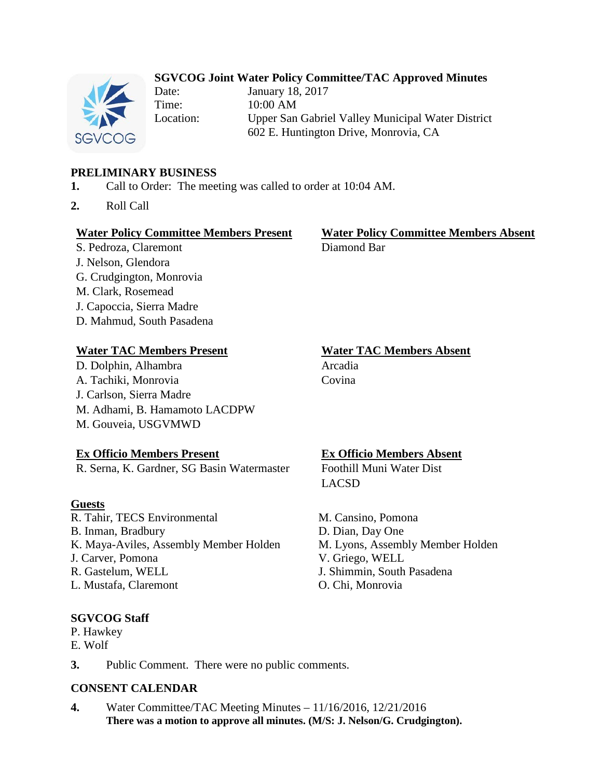## **SGVCOG Joint Water Policy Committee/TAC Approved Minutes**



Date: January 18, 2017 Time: 10:00 AM Location: Upper San Gabriel Valley Municipal Water District 602 E. Huntington Drive, Monrovia, CA

## **PRELIMINARY BUSINESS**

- **1.** Call to Order: The meeting was called to order at 10:04 AM.
- **2.** Roll Call

### **Water Policy Committee Members Present Water Policy Committee Members Absent**

S. Pedroza, Claremont Diamond Bar J. Nelson, Glendora G. Crudgington, Monrovia M. Clark, Rosemead J. Capoccia, Sierra Madre D. Mahmud, South Pasadena

### **Water TAC Members Present Water TAC Members Absent**

D. Dolphin, Alhambra Arcadia A. Tachiki, Monrovia Covina J. Carlson, Sierra Madre M. Adhami, B. Hamamoto LACDPW M. Gouveia, USGVMWD

R. Serna, K. Gardner, SG Basin Watermaster Foothill Muni Water Dist

### **Guests**

R. Tahir, TECS Environmental B. Inman, Bradbury K. Maya-Aviles, Assembly Member Holden J. Carver, Pomona R. Gastelum, WELL L. Mustafa, Claremont **O. Chi, Monrovia** 

## **SGVCOG Staff**

P. Hawkey

E. Wolf

# **Ex Officio Members Present Ex Officio Members Absent**

LACSD

M. Cansino, Pomona D. Dian, Day One M. Lyons, Assembly Member Holden V. Griego, WELL J. Shimmin, South Pasadena

**3.** Public Comment. There were no public comments.

## **CONSENT CALENDAR**

**4.** Water Committee/TAC Meeting Minutes – 11/16/2016, 12/21/2016 **There was a motion to approve all minutes. (M/S: J. Nelson/G. Crudgington).**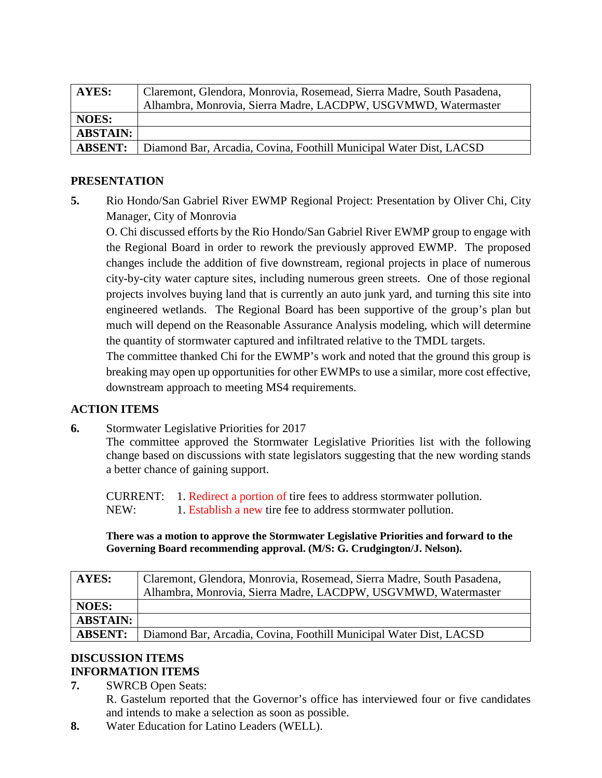| AYES:           | Claremont, Glendora, Monrovia, Rosemead, Sierra Madre, South Pasadena, |
|-----------------|------------------------------------------------------------------------|
|                 | Alhambra, Monrovia, Sierra Madre, LACDPW, USGVMWD, Watermaster         |
| <b>NOES:</b>    |                                                                        |
| <b>ABSTAIN:</b> |                                                                        |
| <b>ABSENT:</b>  | Diamond Bar, Arcadia, Covina, Foothill Municipal Water Dist, LACSD     |

## **PRESENTATION**

**5.** Rio Hondo/San Gabriel River EWMP Regional Project: Presentation by Oliver Chi, City Manager, City of Monrovia

O. Chi discussed efforts by the Rio Hondo/San Gabriel River EWMP group to engage with the Regional Board in order to rework the previously approved EWMP. The proposed changes include the addition of five downstream, regional projects in place of numerous city-by-city water capture sites, including numerous green streets. One of those regional projects involves buying land that is currently an auto junk yard, and turning this site into engineered wetlands. The Regional Board has been supportive of the group's plan but much will depend on the Reasonable Assurance Analysis modeling, which will determine the quantity of stormwater captured and infiltrated relative to the TMDL targets.

The committee thanked Chi for the EWMP's work and noted that the ground this group is breaking may open up opportunities for other EWMPs to use a similar, more cost effective, downstream approach to meeting MS4 requirements.

# **ACTION ITEMS**

**6.** Stormwater Legislative Priorities for 2017

The committee approved the Stormwater Legislative Priorities list with the following change based on discussions with state legislators suggesting that the new wording stands a better chance of gaining support.

CURRENT: 1. Redirect a portion of tire fees to address stormwater pollution. NEW: 1. Establish a new tire fee to address stormwater pollution.

**There was a motion to approve the Stormwater Legislative Priorities and forward to the Governing Board recommending approval. (M/S: G. Crudgington/J. Nelson).**

| <b>AYES:</b>    | Claremont, Glendora, Monrovia, Rosemead, Sierra Madre, South Pasadena, |
|-----------------|------------------------------------------------------------------------|
|                 | Alhambra, Monrovia, Sierra Madre, LACDPW, USGVMWD, Watermaster         |
| <b>NOES:</b>    |                                                                        |
| <b>ABSTAIN:</b> |                                                                        |
| <b>ABSENT:</b>  | Diamond Bar, Arcadia, Covina, Foothill Municipal Water Dist, LACSD     |

## **DISCUSSION ITEMS INFORMATION ITEMS**

**7.** SWRCB Open Seats:

R. Gastelum reported that the Governor's office has interviewed four or five candidates and intends to make a selection as soon as possible.

**8.** Water Education for Latino Leaders (WELL).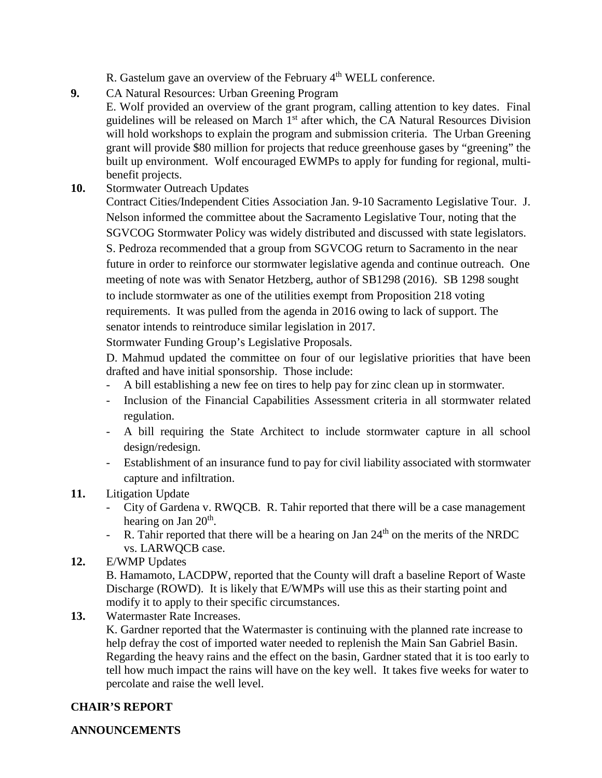R. Gastelum gave an overview of the February 4<sup>th</sup> WELL conference.

**9.** CA Natural Resources: Urban Greening Program

E. Wolf provided an overview of the grant program, calling attention to key dates. Final guidelines will be released on March  $1<sup>st</sup>$  after which, the CA Natural Resources Division will hold workshops to explain the program and submission criteria. The Urban Greening grant will provide \$80 million for projects that reduce greenhouse gases by "greening" the built up environment. Wolf encouraged EWMPs to apply for funding for regional, multibenefit projects.

**10.** Stormwater Outreach Updates

Contract Cities/Independent Cities Association Jan. 9-10 Sacramento Legislative Tour. J. Nelson informed the committee about the Sacramento Legislative Tour, noting that the SGVCOG Stormwater Policy was widely distributed and discussed with state legislators. S. Pedroza recommended that a group from SGVCOG return to Sacramento in the near future in order to reinforce our stormwater legislative agenda and continue outreach. One meeting of note was with Senator Hetzberg, author of SB1298 (2016). SB 1298 sought to include stormwater as one of the utilities exempt from Proposition 218 voting requirements. It was pulled from the agenda in 2016 owing to lack of support. The senator intends to reintroduce similar legislation in 2017.

Stormwater Funding Group's Legislative Proposals.

D. Mahmud updated the committee on four of our legislative priorities that have been drafted and have initial sponsorship. Those include:

- A bill establishing a new fee on tires to help pay for zinc clean up in stormwater.
- Inclusion of the Financial Capabilities Assessment criteria in all stormwater related regulation.
- A bill requiring the State Architect to include stormwater capture in all school design/redesign.
- Establishment of an insurance fund to pay for civil liability associated with stormwater capture and infiltration.
- **11.** Litigation Update
	- City of Gardena v. RWQCB. R. Tahir reported that there will be a case management hearing on Jan  $20<sup>th</sup>$ .
	- R. Tahir reported that there will be a hearing on Jan  $24<sup>th</sup>$  on the merits of the NRDC vs. LARWQCB case.
- **12.** E/WMP Updates

B. Hamamoto, LACDPW, reported that the County will draft a baseline Report of Waste Discharge (ROWD). It is likely that E/WMPs will use this as their starting point and modify it to apply to their specific circumstances.

**13.** Watermaster Rate Increases.

K. Gardner reported that the Watermaster is continuing with the planned rate increase to help defray the cost of imported water needed to replenish the Main San Gabriel Basin. Regarding the heavy rains and the effect on the basin, Gardner stated that it is too early to tell how much impact the rains will have on the key well. It takes five weeks for water to percolate and raise the well level.

## **CHAIR'S REPORT**

## **ANNOUNCEMENTS**